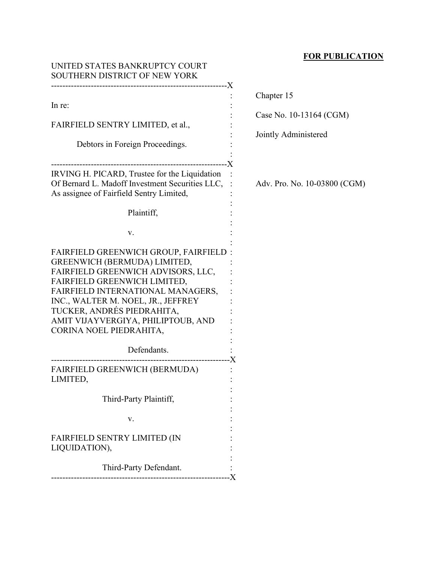## **FOR PUBLICATION**

| UNITED STATES BANKRUPTCY COURT<br>SOUTHERN DISTRICT OF NEW YORK                                                                                                                                                                                                                                                              |                                                 |
|------------------------------------------------------------------------------------------------------------------------------------------------------------------------------------------------------------------------------------------------------------------------------------------------------------------------------|-------------------------------------------------|
| In re:                                                                                                                                                                                                                                                                                                                       | Chapter 15                                      |
| FAIRFIELD SENTRY LIMITED, et al.,                                                                                                                                                                                                                                                                                            | Case No. 10-13164 (CGM)<br>Jointly Administered |
| Debtors in Foreign Proceedings.                                                                                                                                                                                                                                                                                              |                                                 |
| IRVING H. PICARD, Trustee for the Liquidation<br>Of Bernard L. Madoff Investment Securities LLC,<br>As assignee of Fairfield Sentry Limited,                                                                                                                                                                                 | Adv. Pro. No. 10-03800 (CGM)                    |
| Plaintiff,                                                                                                                                                                                                                                                                                                                   |                                                 |
| V.                                                                                                                                                                                                                                                                                                                           |                                                 |
| <b>FAIRFIELD GREENWICH GROUP, FAIRFIELD:</b><br>GREENWICH (BERMUDA) LIMITED,<br>FAIRFIELD GREENWICH ADVISORS, LLC,<br>FAIRFIELD GREENWICH LIMITED,<br>FAIRFIELD INTERNATIONAL MANAGERS,<br>INC., WALTER M. NOEL, JR., JEFFREY<br>TUCKER, ANDRÉS PIEDRAHITA,<br>AMIT VIJAYVERGIYA, PHILIPTOUB, AND<br>CORINA NOEL PIEDRAHITA, |                                                 |
| Defendants.                                                                                                                                                                                                                                                                                                                  |                                                 |
| FAIRFIELD GREENWICH (BERMUDA)<br>LIMITED,                                                                                                                                                                                                                                                                                    |                                                 |
| Third-Party Plaintiff,                                                                                                                                                                                                                                                                                                       |                                                 |
| V.                                                                                                                                                                                                                                                                                                                           |                                                 |
| <b>FAIRFIELD SENTRY LIMITED (IN</b><br>LIQUIDATION),                                                                                                                                                                                                                                                                         |                                                 |
| Third-Party Defendant.                                                                                                                                                                                                                                                                                                       |                                                 |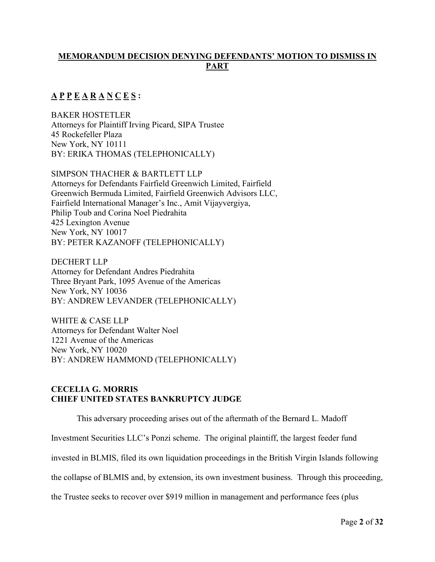## **MEMORANDUM DECISION DENYING DEFENDANTS' MOTION TO DISMISS IN PART**

# **A P P E A R A N C E S :**

BAKER HOSTETLER Attorneys for Plaintiff Irving Picard, SIPA Trustee 45 Rockefeller Plaza New York, NY 10111 BY: ERIKA THOMAS (TELEPHONICALLY)

SIMPSON THACHER & BARTLETT LLP Attorneys for Defendants Fairfield Greenwich Limited, Fairfield Greenwich Bermuda Limited, Fairfield Greenwich Advisors LLC, Fairfield International Manager's Inc., Amit Vijayvergiya, Philip Toub and Corina Noel Piedrahita 425 Lexington Avenue New York, NY 10017 BY: PETER KAZANOFF (TELEPHONICALLY)

DECHERT LLP Attorney for Defendant Andres Piedrahita Three Bryant Park, 1095 Avenue of the Americas New York, NY 10036 BY: ANDREW LEVANDER (TELEPHONICALLY)

WHITE & CASE LLP Attorneys for Defendant Walter Noel 1221 Avenue of the Americas New York, NY 10020 BY: ANDREW HAMMOND (TELEPHONICALLY)

## **CECELIA G. MORRIS CHIEF UNITED STATES BANKRUPTCY JUDGE**

This adversary proceeding arises out of the aftermath of the Bernard L. Madoff

Investment Securities LLC's Ponzi scheme. The original plaintiff, the largest feeder fund

invested in BLMIS, filed its own liquidation proceedings in the British Virgin Islands following

the collapse of BLMIS and, by extension, its own investment business. Through this proceeding,

the Trustee seeks to recover over \$919 million in management and performance fees (plus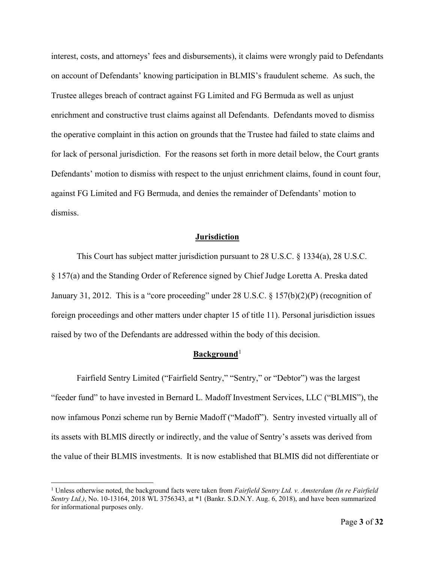interest, costs, and attorneys' fees and disbursements), it claims were wrongly paid to Defendants on account of Defendants' knowing participation in BLMIS's fraudulent scheme. As such, the Trustee alleges breach of contract against FG Limited and FG Bermuda as well as unjust enrichment and constructive trust claims against all Defendants. Defendants moved to dismiss the operative complaint in this action on grounds that the Trustee had failed to state claims and for lack of personal jurisdiction. For the reasons set forth in more detail below, the Court grants Defendants' motion to dismiss with respect to the unjust enrichment claims, found in count four, against FG Limited and FG Bermuda, and denies the remainder of Defendants' motion to dismiss.

#### **Jurisdiction**

This Court has subject matter jurisdiction pursuant to 28 U.S.C. § 1334(a), 28 U.S.C. § 157(a) and the Standing Order of Reference signed by Chief Judge Loretta A. Preska dated January 31, 2012. This is a "core proceeding" under 28 U.S.C. § 157(b)(2)(P) (recognition of foreign proceedings and other matters under chapter 15 of title 11). Personal jurisdiction issues raised by two of the Defendants are addressed within the body of this decision.

## Background<sup>[1](#page-2-0)</sup>

Fairfield Sentry Limited ("Fairfield Sentry," "Sentry," or "Debtor") was the largest "feeder fund" to have invested in Bernard L. Madoff Investment Services, LLC ("BLMIS"), the now infamous Ponzi scheme run by Bernie Madoff ("Madoff"). Sentry invested virtually all of its assets with BLMIS directly or indirectly, and the value of Sentry's assets was derived from the value of their BLMIS investments. It is now established that BLMIS did not differentiate or

<span id="page-2-0"></span><sup>1</sup> Unless otherwise noted, the background facts were taken from *Fairfield Sentry Ltd. v. Amsterdam (In re Fairfield Sentry Ltd.)*, No. 10-13164, 2018 WL 3756343, at \*1 (Bankr. S.D.N.Y. Aug. 6, 2018), and have been summarized for informational purposes only.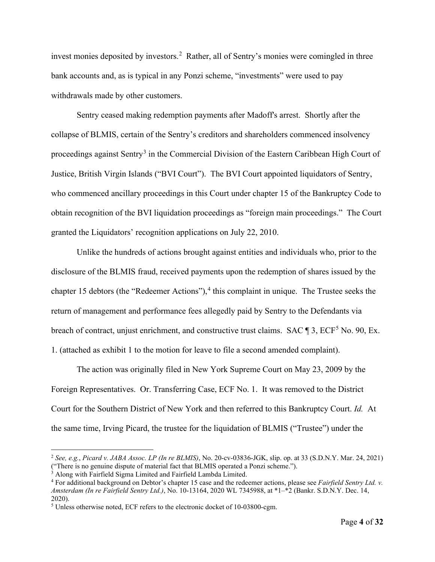invest monies deposited by investors.<sup>[2](#page-3-0)</sup> Rather, all of Sentry's monies were comingled in three bank accounts and, as is typical in any Ponzi scheme, "investments" were used to pay withdrawals made by other customers.

Sentry ceased making redemption payments after Madoff's arrest. Shortly after the collapse of BLMIS, certain of the Sentry's creditors and shareholders commenced insolvency proceedings against Sentry<sup>[3](#page-3-1)</sup> in the Commercial Division of the Eastern Caribbean High Court of Justice, British Virgin Islands ("BVI Court"). The BVI Court appointed liquidators of Sentry, who commenced ancillary proceedings in this Court under chapter 15 of the Bankruptcy Code to obtain recognition of the BVI liquidation proceedings as "foreign main proceedings." The Court granted the Liquidators' recognition applications on July 22, 2010.

Unlike the hundreds of actions brought against entities and individuals who, prior to the disclosure of the BLMIS fraud, received payments upon the redemption of shares issued by the chapter 15 debtors (the "Redeemer Actions"),<sup>[4](#page-3-2)</sup> this complaint in unique. The Trustee seeks the return of management and performance fees allegedly paid by Sentry to the Defendants via breach of contract, unjust enrichment, and constructive trust claims. SAC ¶ 3, ECF<sup>[5](#page-3-3)</sup> No. 90, Ex. 1. (attached as exhibit 1 to the motion for leave to file a second amended complaint).

The action was originally filed in New York Supreme Court on May 23, 2009 by the Foreign Representatives. Or. Transferring Case, ECF No. 1. It was removed to the District Court for the Southern District of New York and then referred to this Bankruptcy Court. *Id.* At the same time, Irving Picard, the trustee for the liquidation of BLMIS ("Trustee") under the

<span id="page-3-0"></span><sup>2</sup> *See, e.g.*, *Picard v. JABA Assoc. LP (In re BLMIS)*, No. 20-cv-03836-JGK, slip. op. at 33 (S.D.N.Y. Mar. 24, 2021) ("There is no genuine dispute of material fact that BLMIS operated a Ponzi scheme.").

<span id="page-3-2"></span><span id="page-3-1"></span>

<sup>&</sup>lt;sup>3</sup> Along with Fairfield Sigma Limited and Fairfield Lambda Limited.  $\frac{4}{15}$  For additional background on Debtor's chapter 15 case and the redeemer actions, please see *Fairfield Sentry Ltd. v. Amsterdam (In re Fairfield Sentry Ltd.)*, No. 10-13164, 2020 WL 7345988, at \*1–\*2 (Bankr. S.D.N.Y. Dec. 14, 2020).

<span id="page-3-3"></span><sup>5</sup> Unless otherwise noted, ECF refers to the electronic docket of 10-03800-cgm.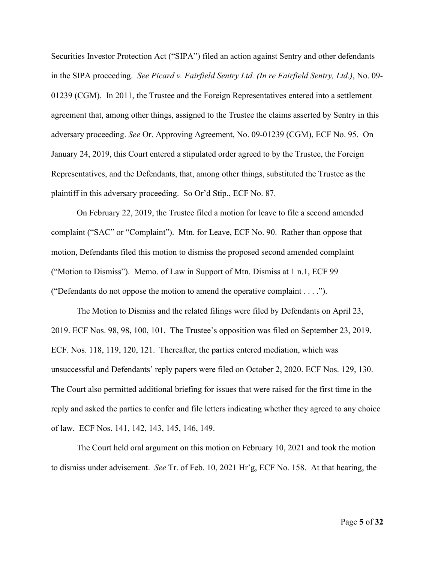Securities Investor Protection Act ("SIPA") filed an action against Sentry and other defendants in the SIPA proceeding. *See Picard v. Fairfield Sentry Ltd. (In re Fairfield Sentry, Ltd.)*, No. 09- 01239 (CGM). In 2011, the Trustee and the Foreign Representatives entered into a settlement agreement that, among other things, assigned to the Trustee the claims asserted by Sentry in this adversary proceeding. *See* Or. Approving Agreement, No. 09-01239 (CGM), ECF No. 95. On January 24, 2019, this Court entered a stipulated order agreed to by the Trustee, the Foreign Representatives, and the Defendants, that, among other things, substituted the Trustee as the plaintiff in this adversary proceeding. So Or'd Stip., ECF No. 87.

On February 22, 2019, the Trustee filed a motion for leave to file a second amended complaint ("SAC" or "Complaint"). Mtn. for Leave, ECF No. 90. Rather than oppose that motion, Defendants filed this motion to dismiss the proposed second amended complaint ("Motion to Dismiss"). Memo. of Law in Support of Mtn. Dismiss at 1 n.1, ECF 99 ("Defendants do not oppose the motion to amend the operative complaint . . . .").

The Motion to Dismiss and the related filings were filed by Defendants on April 23, 2019. ECF Nos. 98, 98, 100, 101. The Trustee's opposition was filed on September 23, 2019. ECF. Nos. 118, 119, 120, 121. Thereafter, the parties entered mediation, which was unsuccessful and Defendants' reply papers were filed on October 2, 2020. ECF Nos. 129, 130. The Court also permitted additional briefing for issues that were raised for the first time in the reply and asked the parties to confer and file letters indicating whether they agreed to any choice of law. ECF Nos. 141, 142, 143, 145, 146, 149.

The Court held oral argument on this motion on February 10, 2021 and took the motion to dismiss under advisement. *See* Tr. of Feb. 10, 2021 Hr'g, ECF No. 158. At that hearing, the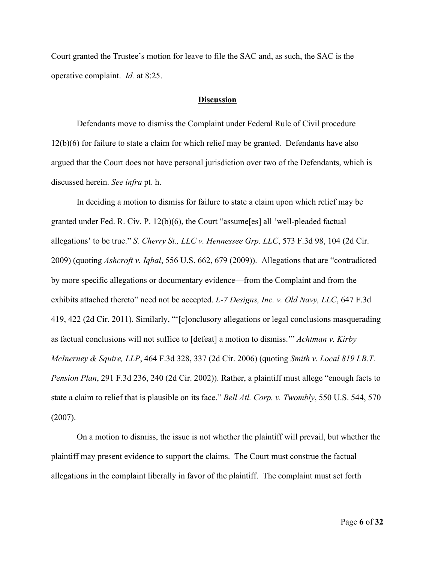Court granted the Trustee's motion for leave to file the SAC and, as such, the SAC is the operative complaint. *Id.* at 8:25.

#### **Discussion**

Defendants move to dismiss the Complaint under Federal Rule of Civil procedure 12(b)(6) for failure to state a claim for which relief may be granted. Defendants have also argued that the Court does not have personal jurisdiction over two of the Defendants, which is discussed herein. *See infra* pt. h.

In deciding a motion to dismiss for failure to state a claim upon which relief may be granted under Fed. R. Civ. P. 12(b)(6), the Court "assume[es] all 'well-pleaded factual allegations' to be true." *S. Cherry St., LLC v. Hennessee Grp. LLC*, 573 F.3d 98, 104 (2d Cir. 2009) (quoting *Ashcroft v. Iqbal*, 556 U.S. 662, 679 (2009)). Allegations that are "contradicted by more specific allegations or documentary evidence—from the Complaint and from the exhibits attached thereto" need not be accepted. *L-7 Designs, Inc. v. Old Navy, LLC*, 647 F.3d 419, 422 (2d Cir. 2011). Similarly, "'[c]onclusory allegations or legal conclusions masquerading as factual conclusions will not suffice to [defeat] a motion to dismiss.'" *Achtman v. Kirby McInerney & Squire, LLP*, 464 F.3d 328, 337 (2d Cir. 2006) (quoting *Smith v. Local 819 I.B.T. Pension Plan*, 291 F.3d 236, 240 (2d Cir. 2002)). Rather, a plaintiff must allege "enough facts to state a claim to relief that is plausible on its face." *Bell Atl. Corp. v. Twombly*, 550 U.S. 544, 570 (2007).

On a motion to dismiss, the issue is not whether the plaintiff will prevail, but whether the plaintiff may present evidence to support the claims. The Court must construe the factual allegations in the complaint liberally in favor of the plaintiff. The complaint must set forth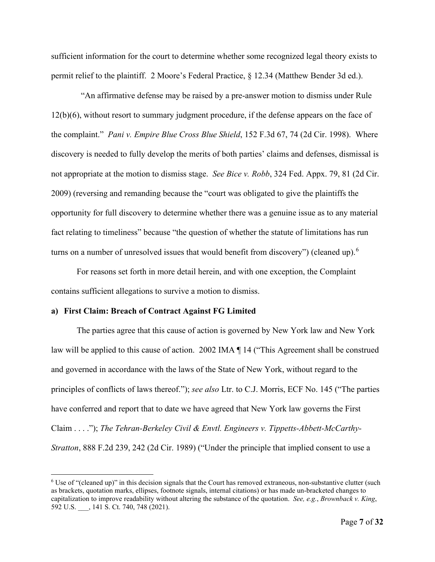sufficient information for the court to determine whether some recognized legal theory exists to permit relief to the plaintiff. 2 Moore's Federal Practice, § 12.34 (Matthew Bender 3d ed.).

 "An affirmative defense may be raised by a pre-answer motion to dismiss under Rule 12(b)(6), without resort to summary judgment procedure, if the defense appears on the face of the complaint." *Pani v. Empire Blue Cross Blue Shield*, 152 F.3d 67, 74 (2d Cir. 1998). Where discovery is needed to fully develop the merits of both parties' claims and defenses, dismissal is not appropriate at the motion to dismiss stage. *See Bice v. Robb*, 324 Fed. Appx. 79, 81 (2d Cir. 2009) (reversing and remanding because the "court was obligated to give the plaintiffs the opportunity for full discovery to determine whether there was a genuine issue as to any material fact relating to timeliness" because "the question of whether the statute of limitations has run turns on a number of unresolved issues that would benefit from discovery") (cleaned up).  $^6$  $^6$ 

For reasons set forth in more detail herein, and with one exception, the Complaint contains sufficient allegations to survive a motion to dismiss.

#### **a) First Claim: Breach of Contract Against FG Limited**

The parties agree that this cause of action is governed by New York law and New York law will be applied to this cause of action. 2002 IMA ¶ 14 ("This Agreement shall be construed and governed in accordance with the laws of the State of New York, without regard to the principles of conflicts of laws thereof."); *see also* Ltr. to C.J. Morris, ECF No. 145 ("The parties have conferred and report that to date we have agreed that New York law governs the First Claim . . . ."); *The Tehran-Berkeley Civil & Envtl. Engineers v. Tippetts-Abbett-McCarthy-Stratton*, 888 F.2d 239, 242 (2d Cir. 1989) ("Under the principle that implied consent to use a

<span id="page-6-0"></span><sup>6</sup> Use of "(cleaned up)" in this decision signals that the Court has removed extraneous, non-substantive clutter (such as brackets, quotation marks, ellipses, footnote signals, internal citations) or has made un-bracketed changes to capitalization to improve readability without altering the substance of the quotation. *See, e.g.*, *Brownback v. King*, 592 U.S. , 141 S. Ct. 740, 748 (2021).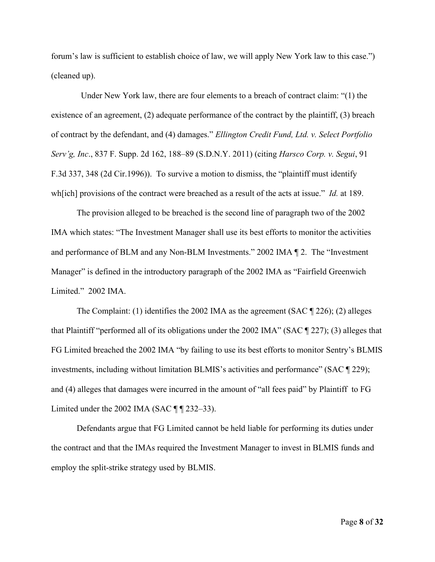forum's law is sufficient to establish choice of law, we will apply New York law to this case.") (cleaned up).

 Under New York law, there are four elements to a breach of contract claim: "(1) the existence of an agreement, (2) adequate performance of the contract by the plaintiff, (3) breach of contract by the defendant, and (4) damages." *Ellington Credit Fund, Ltd. v. Select Portfolio Serv'g, Inc*., 837 F. Supp. 2d 162, 188–89 (S.D.N.Y. 2011) (citing *Harsco Corp. v. Segui*, 91 F.3d 337, 348 (2d Cir.1996)). To survive a motion to dismiss, the "plaintiff must identify wh[ich] provisions of the contract were breached as a result of the acts at issue." *Id.* at 189.

The provision alleged to be breached is the second line of paragraph two of the 2002 IMA which states: "The Investment Manager shall use its best efforts to monitor the activities and performance of BLM and any Non-BLM Investments." 2002 IMA ¶ 2. The "Investment Manager" is defined in the introductory paragraph of the 2002 IMA as "Fairfield Greenwich Limited." 2002 IMA.

The Complaint: (1) identifies the 2002 IMA as the agreement (SAC  $\parallel$  226); (2) alleges that Plaintiff "performed all of its obligations under the 2002 IMA" (SAC ¶ 227); (3) alleges that FG Limited breached the 2002 IMA "by failing to use its best efforts to monitor Sentry's BLMIS investments, including without limitation BLMIS's activities and performance" (SAC ¶ 229); and (4) alleges that damages were incurred in the amount of "all fees paid" by Plaintiff to FG Limited under the 2002 IMA (SAC  $\P$   $\P$  232–33).

Defendants argue that FG Limited cannot be held liable for performing its duties under the contract and that the IMAs required the Investment Manager to invest in BLMIS funds and employ the split-strike strategy used by BLMIS.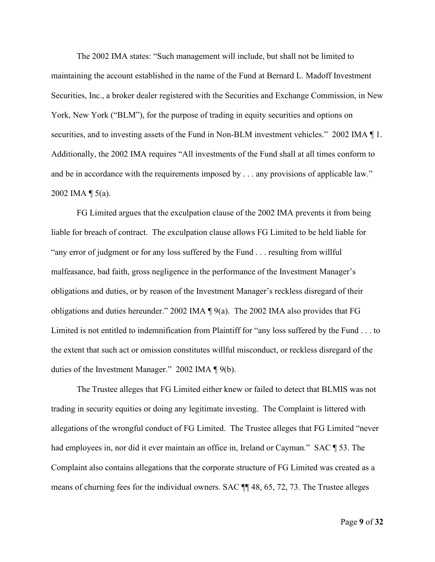The 2002 IMA states: "Such management will include, but shall not be limited to maintaining the account established in the name of the Fund at Bernard L. Madoff Investment Securities, Inc., a broker dealer registered with the Securities and Exchange Commission, in New York, New York ("BLM"), for the purpose of trading in equity securities and options on securities, and to investing assets of the Fund in Non-BLM investment vehicles." 2002 IMA  $\P$ 1. Additionally, the 2002 IMA requires "All investments of the Fund shall at all times conform to and be in accordance with the requirements imposed by . . . any provisions of applicable law." 2002 IMA ¶ 5(a).

FG Limited argues that the exculpation clause of the 2002 IMA prevents it from being liable for breach of contract. The exculpation clause allows FG Limited to be held liable for "any error of judgment or for any loss suffered by the Fund . . . resulting from willful malfeasance, bad faith, gross negligence in the performance of the Investment Manager's obligations and duties, or by reason of the Investment Manager's reckless disregard of their obligations and duties hereunder." 2002 IMA ¶ 9(a). The 2002 IMA also provides that FG Limited is not entitled to indemnification from Plaintiff for "any loss suffered by the Fund . . . to the extent that such act or omission constitutes willful misconduct, or reckless disregard of the duties of the Investment Manager." 2002 IMA ¶ 9(b).

The Trustee alleges that FG Limited either knew or failed to detect that BLMIS was not trading in security equities or doing any legitimate investing. The Complaint is littered with allegations of the wrongful conduct of FG Limited. The Trustee alleges that FG Limited "never had employees in, nor did it ever maintain an office in, Ireland or Cayman." SAC ¶ 53. The Complaint also contains allegations that the corporate structure of FG Limited was created as a means of churning fees for the individual owners. SAC ¶¶ 48, 65, 72, 73. The Trustee alleges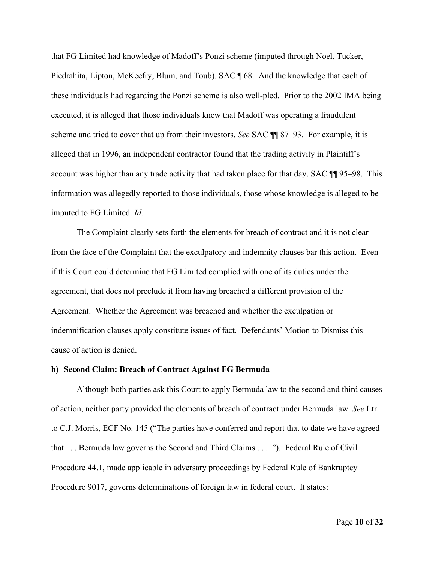that FG Limited had knowledge of Madoff's Ponzi scheme (imputed through Noel, Tucker, Piedrahita, Lipton, McKeefry, Blum, and Toub). SAC ¶ 68. And the knowledge that each of these individuals had regarding the Ponzi scheme is also well-pled. Prior to the 2002 IMA being executed, it is alleged that those individuals knew that Madoff was operating a fraudulent scheme and tried to cover that up from their investors. *See* SAC ¶¶ 87–93. For example, it is alleged that in 1996, an independent contractor found that the trading activity in Plaintiff's account was higher than any trade activity that had taken place for that day. SAC ¶¶ 95–98. This information was allegedly reported to those individuals, those whose knowledge is alleged to be imputed to FG Limited. *Id.*

The Complaint clearly sets forth the elements for breach of contract and it is not clear from the face of the Complaint that the exculpatory and indemnity clauses bar this action. Even if this Court could determine that FG Limited complied with one of its duties under the agreement, that does not preclude it from having breached a different provision of the Agreement. Whether the Agreement was breached and whether the exculpation or indemnification clauses apply constitute issues of fact. Defendants' Motion to Dismiss this cause of action is denied.

#### **b) Second Claim: Breach of Contract Against FG Bermuda**

Although both parties ask this Court to apply Bermuda law to the second and third causes of action, neither party provided the elements of breach of contract under Bermuda law. *See* Ltr. to C.J. Morris, ECF No. 145 ("The parties have conferred and report that to date we have agreed that . . . Bermuda law governs the Second and Third Claims . . . ."). Federal Rule of Civil Procedure 44.1, made applicable in adversary proceedings by Federal Rule of Bankruptcy Procedure 9017, governs determinations of foreign law in federal court. It states: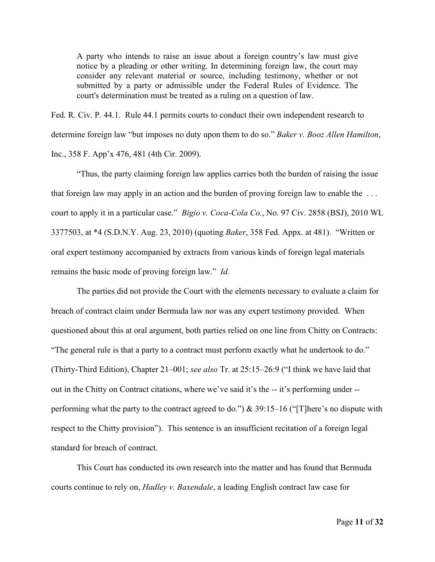A party who intends to raise an issue about a foreign country's law must give notice by a pleading or other writing. In determining foreign law, the court may consider any relevant material or source, including testimony, whether or not submitted by a party or admissible under the Federal Rules of Evidence. The court's determination must be treated as a ruling on a question of law.

Fed. R. Civ. P. 44.1. Rule 44.1 permits courts to conduct their own independent research to determine foreign law "but imposes no duty upon them to do so." *Baker v. Booz Allen Hamilton*, Inc., 358 F. App'x 476, 481 (4th Cir. 2009).

"Thus, the party claiming foreign law applies carries both the burden of raising the issue that foreign law may apply in an action and the burden of proving foreign law to enable the . . . court to apply it in a particular case." *Bigio v. Coca-Cola Co.*, No. 97 Civ. 2858 (BSJ), 2010 WL 3377503, at \*4 (S.D.N.Y. Aug. 23, 2010) (quoting *Baker*, 358 Fed. Appx. at 481). "Written or oral expert testimony accompanied by extracts from various kinds of foreign legal materials remains the basic mode of proving foreign law." *Id.* 

The parties did not provide the Court with the elements necessary to evaluate a claim for breach of contract claim under Bermuda law nor was any expert testimony provided. When questioned about this at oral argument, both parties relied on one line from Chitty on Contracts: "The general rule is that a party to a contract must perform exactly what he undertook to do." (Thirty-Third Edition), Chapter 21–001; *see also* Tr. at 25:15–26:9 ("I think we have laid that out in the Chitty on Contract citations, where we've said it's the -- it's performing under - performing what the party to the contract agreed to do.") & 39:15–16 ("[T]here's no dispute with respect to the Chitty provision"). This sentence is an insufficient recitation of a foreign legal standard for breach of contract.

This Court has conducted its own research into the matter and has found that Bermuda courts continue to rely on, *Hadley v. Baxendale*, a leading English contract law case for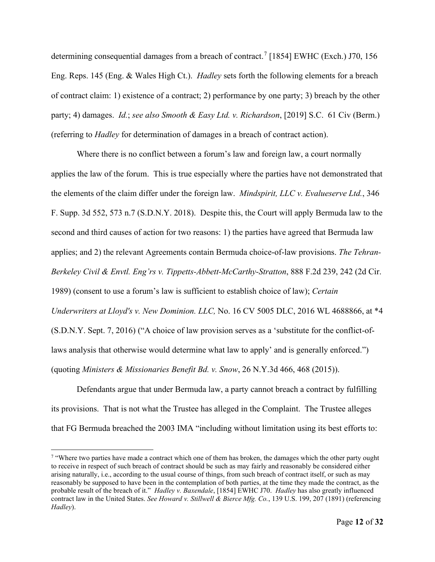determining consequential damages from a breach of contract.<sup>[7](#page-11-0)</sup> [1854] EWHC (Exch.) J70, 156 Eng. Reps. 145 (Eng. & Wales High Ct.). *Hadley* sets forth the following elements for a breach of contract claim: 1) existence of a contract; 2) performance by one party; 3) breach by the other party; 4) damages. *Id.*; *see also Smooth & Easy Ltd. v. Richardson*, [2019] S.C. 61 Civ (Berm.) (referring to *Hadley* for determination of damages in a breach of contract action).

Where there is no conflict between a forum's law and foreign law, a court normally applies the law of the forum. This is true especially where the parties have not demonstrated that the elements of the claim differ under the foreign law. *Mindspirit, LLC v. Evalueserve Ltd.*, 346 F. Supp. 3d 552, 573 n.7 (S.D.N.Y. 2018). Despite this, the Court will apply Bermuda law to the second and third causes of action for two reasons: 1) the parties have agreed that Bermuda law applies; and 2) the relevant Agreements contain Bermuda choice-of-law provisions. *The Tehran-Berkeley Civil & Envtl. Eng'rs v. Tippetts-Abbett-McCarthy-Stratton*, 888 F.2d 239, 242 (2d Cir. 1989) (consent to use a forum's law is sufficient to establish choice of law); *Certain Underwriters at Lloyd's v. New Dominion. LLC,* No. 16 CV 5005 DLC, 2016 WL 4688866, at \*4 (S.D.N.Y. Sept. 7, 2016) ("A choice of law provision serves as a 'substitute for the conflict-oflaws analysis that otherwise would determine what law to apply' and is generally enforced.") (quoting *Ministers & Missionaries Benefit Bd. v. Snow*, 26 N.Y.3d 466, 468 (2015)).

Defendants argue that under Bermuda law, a party cannot breach a contract by fulfilling its provisions. That is not what the Trustee has alleged in the Complaint. The Trustee alleges that FG Bermuda breached the 2003 IMA "including without limitation using its best efforts to:

<span id="page-11-0"></span><sup>&</sup>lt;sup>7</sup> "Where two parties have made a contract which one of them has broken, the damages which the other party ought to receive in respect of such breach of contract should be such as may fairly and reasonably be considered either arising naturally, i.e., according to the usual course of things, from such breach of contract itself, or such as may reasonably be supposed to have been in the contemplation of both parties, at the time they made the contract, as the probable result of the breach of it." *Hadley v. Baxendale*, [1854] EWHC J70. *Hadley* has also greatly influenced contract law in the United States. *See Howard v. Stillwell & Bierce Mfg. Co.*, 139 U.S. 199, 207 (1891) (referencing *Hadley*).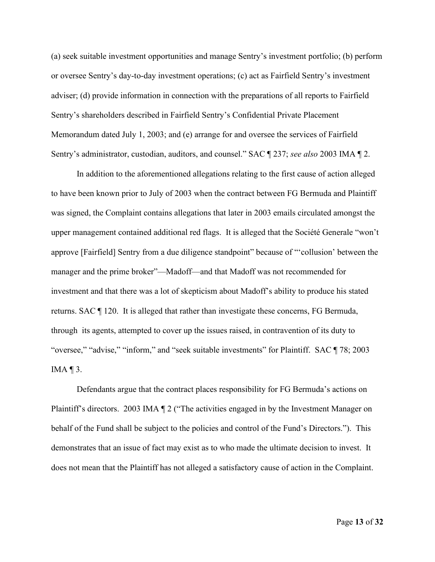(a) seek suitable investment opportunities and manage Sentry's investment portfolio; (b) perform or oversee Sentry's day-to-day investment operations; (c) act as Fairfield Sentry's investment adviser; (d) provide information in connection with the preparations of all reports to Fairfield Sentry's shareholders described in Fairfield Sentry's Confidential Private Placement Memorandum dated July 1, 2003; and (e) arrange for and oversee the services of Fairfield Sentry's administrator, custodian, auditors, and counsel." SAC ¶ 237; *see also* 2003 IMA ¶ 2.

In addition to the aforementioned allegations relating to the first cause of action alleged to have been known prior to July of 2003 when the contract between FG Bermuda and Plaintiff was signed, the Complaint contains allegations that later in 2003 emails circulated amongst the upper management contained additional red flags. It is alleged that the Société Generale "won't approve [Fairfield] Sentry from a due diligence standpoint" because of "'collusion' between the manager and the prime broker"—Madoff—and that Madoff was not recommended for investment and that there was a lot of skepticism about Madoff's ability to produce his stated returns. SAC ¶ 120. It is alleged that rather than investigate these concerns, FG Bermuda, through its agents, attempted to cover up the issues raised, in contravention of its duty to "oversee," "advise," "inform," and "seek suitable investments" for Plaintiff. SAC ¶ 78; 2003 IMA  $\P$  3.

Defendants argue that the contract places responsibility for FG Bermuda's actions on Plaintiff's directors. 2003 IMA ¶ 2 ("The activities engaged in by the Investment Manager on behalf of the Fund shall be subject to the policies and control of the Fund's Directors."). This demonstrates that an issue of fact may exist as to who made the ultimate decision to invest. It does not mean that the Plaintiff has not alleged a satisfactory cause of action in the Complaint.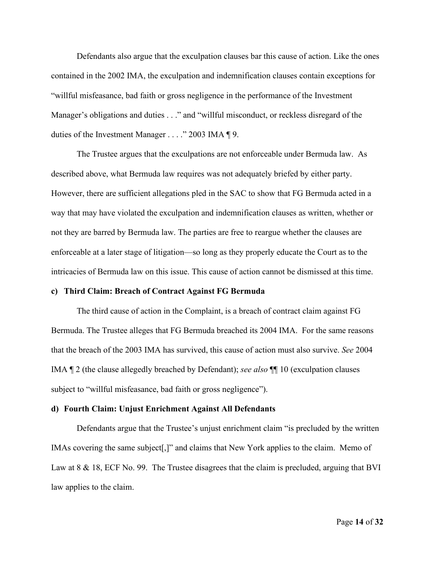Defendants also argue that the exculpation clauses bar this cause of action. Like the ones contained in the 2002 IMA, the exculpation and indemnification clauses contain exceptions for "willful misfeasance, bad faith or gross negligence in the performance of the Investment Manager's obligations and duties . . ." and "willful misconduct, or reckless disregard of the duties of the Investment Manager . . . ." 2003 IMA ¶ 9.

The Trustee argues that the exculpations are not enforceable under Bermuda law. As described above, what Bermuda law requires was not adequately briefed by either party. However, there are sufficient allegations pled in the SAC to show that FG Bermuda acted in a way that may have violated the exculpation and indemnification clauses as written, whether or not they are barred by Bermuda law. The parties are free to reargue whether the clauses are enforceable at a later stage of litigation—so long as they properly educate the Court as to the intricacies of Bermuda law on this issue. This cause of action cannot be dismissed at this time.

#### **c) Third Claim: Breach of Contract Against FG Bermuda**

The third cause of action in the Complaint, is a breach of contract claim against FG Bermuda. The Trustee alleges that FG Bermuda breached its 2004 IMA. For the same reasons that the breach of the 2003 IMA has survived, this cause of action must also survive. *See* 2004 IMA ¶ 2 (the clause allegedly breached by Defendant); *see also* ¶¶ 10 (exculpation clauses subject to "willful misfeasance, bad faith or gross negligence").

#### **d) Fourth Claim: Unjust Enrichment Against All Defendants**

Defendants argue that the Trustee's unjust enrichment claim "is precluded by the written IMAs covering the same subject[,]" and claims that New York applies to the claim. Memo of Law at 8 & 18, ECF No. 99. The Trustee disagrees that the claim is precluded, arguing that BVI law applies to the claim.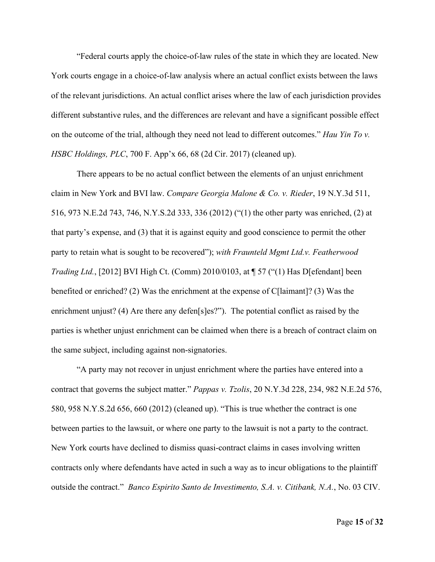"Federal courts apply the choice-of-law rules of the state in which they are located. New York courts engage in a choice-of-law analysis where an actual conflict exists between the laws of the relevant jurisdictions. An actual conflict arises where the law of each jurisdiction provides different substantive rules, and the differences are relevant and have a significant possible effect on the outcome of the trial, although they need not lead to different outcomes." *Hau Yin To v. HSBC Holdings, PLC*, 700 F. App'x 66, 68 (2d Cir. 2017) (cleaned up).

There appears to be no actual conflict between the elements of an unjust enrichment claim in New York and BVI law. *Compare Georgia Malone & Co. v. Rieder*, 19 N.Y.3d 511, 516, 973 N.E.2d 743, 746, N.Y.S.2d 333, 336 (2012) ("(1) the other party was enriched, (2) at that party's expense, and (3) that it is against equity and good conscience to permit the other party to retain what is sought to be recovered"); *with Fraunteld Mgmt Ltd.v. Featherwood Trading Ltd.*, [2012] BVI High Ct. (Comm) 2010/0103, at **[57** ("(1) Has D[efendant] been benefited or enriched? (2) Was the enrichment at the expense of C[laimant]? (3) Was the enrichment unjust? (4) Are there any defen[s]es?"). The potential conflict as raised by the parties is whether unjust enrichment can be claimed when there is a breach of contract claim on the same subject, including against non-signatories.

"A party may not recover in unjust enrichment where the parties have entered into a contract that governs the subject matter." *Pappas v. Tzolis*, 20 N.Y.3d 228, 234, 982 N.E.2d 576, 580, 958 N.Y.S.2d 656, 660 (2012) (cleaned up). "This is true whether the contract is one between parties to the lawsuit, or where one party to the lawsuit is not a party to the contract. New York courts have declined to dismiss quasi-contract claims in cases involving written contracts only where defendants have acted in such a way as to incur obligations to the plaintiff outside the contract." *Banco Espirito Santo de Investimento, S.A. v. Citibank, N.A.*, No. 03 CIV.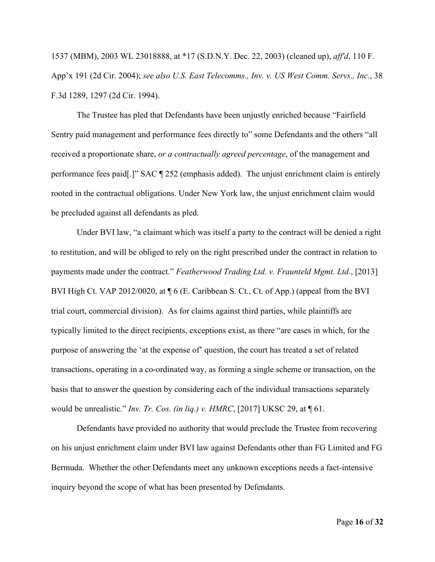1537 (MBM), 2003 WL 23018888, at \*17 (S.D.N.Y. Dec. 22, 2003) (cleaned up), *aff'd*, 110 F. App'x 191 (2d Cir. 2004); *see also U.S. East Telecomms., Inv. v. US West Comm. Servs., Inc.*, 38 F.3d 1289, 1297 (2d Cir. 1994).

The Trustee has pled that Defendants have been unjustly enriched because "Fairfield Sentry paid management and performance fees directly to" some Defendants and the others "all received a proportionate share, *or a contractually agreed percentage*, of the management and performance fees paid[.]" SAC ¶ 252 (emphasis added). The unjust enrichment claim is entirely rooted in the contractual obligations. Under New York law, the unjust enrichment claim would be precluded against all defendants as pled.

Under BVI law, "a claimant which was itself a party to the contract will be denied a right to restitution, and will be obliged to rely on the right prescribed under the contract in relation to payments made under the contract." *Featherwood Trading Ltd. v. Fraunteld Mgmt. Ltd.*, [2013] BVI High Ct. VAP 2012/0020, at  $\P$  6 (E. Caribbean S. Ct., Ct. of App.) (appeal from the BVI trial court, commercial division). As for claims against third parties, while plaintiffs are typically limited to the direct recipients, exceptions exist, as there "are cases in which, for the purpose of answering the 'at the expense of' question, the court has treated a set of related transactions, operating in a co-ordinated way, as forming a single scheme or transaction, on the basis that to answer the question by considering each of the individual transactions separately would be unrealistic." *Inv. Tr. Cos. (in liq.) v. HMRC*, [2017] UKSC 29, at ¶ 61.

Defendants have provided no authority that would preclude the Trustee from recovering on his unjust enrichment claim under BVI law against Defendants other than FG Limited and FG Bermuda. Whether the other Defendants meet any unknown exceptions needs a fact-intensive inquiry beyond the scope of what has been presented by Defendants.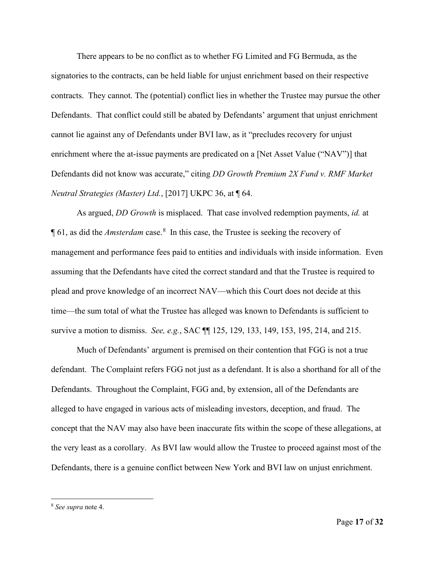There appears to be no conflict as to whether FG Limited and FG Bermuda, as the signatories to the contracts, can be held liable for unjust enrichment based on their respective contracts. They cannot. The (potential) conflict lies in whether the Trustee may pursue the other Defendants. That conflict could still be abated by Defendants' argument that unjust enrichment cannot lie against any of Defendants under BVI law, as it "precludes recovery for unjust enrichment where the at-issue payments are predicated on a [Net Asset Value ("NAV")] that Defendants did not know was accurate," citing *DD Growth Premium 2X Fund v. RMF Market Neutral Strategies (Master) Ltd.*, [2017] UKPC 36, at ¶ 64.

As argued, *DD Growth* is misplaced. That case involved redemption payments, *id.* at ¶ 61, as did the *Amsterdam* case.[8](#page-16-0) In this case, the Trustee is seeking the recovery of management and performance fees paid to entities and individuals with inside information. Even assuming that the Defendants have cited the correct standard and that the Trustee is required to plead and prove knowledge of an incorrect NAV—which this Court does not decide at this time—the sum total of what the Trustee has alleged was known to Defendants is sufficient to survive a motion to dismiss. *See, e.g.*, SAC ¶¶ 125, 129, 133, 149, 153, 195, 214, and 215.

Much of Defendants' argument is premised on their contention that FGG is not a true defendant. The Complaint refers FGG not just as a defendant. It is also a shorthand for all of the Defendants. Throughout the Complaint, FGG and, by extension, all of the Defendants are alleged to have engaged in various acts of misleading investors, deception, and fraud. The concept that the NAV may also have been inaccurate fits within the scope of these allegations, at the very least as a corollary. As BVI law would allow the Trustee to proceed against most of the Defendants, there is a genuine conflict between New York and BVI law on unjust enrichment.

<span id="page-16-0"></span><sup>8</sup> *See supra* note 4.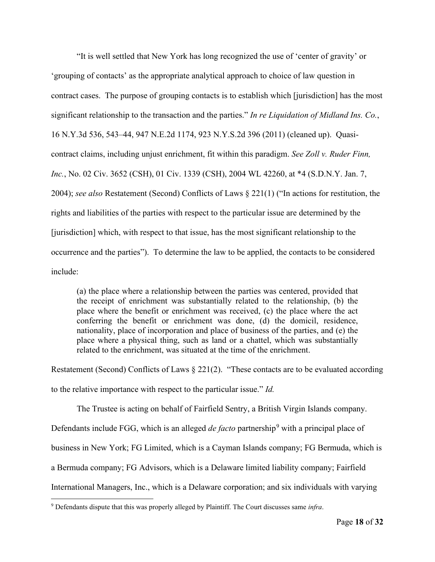"It is well settled that New York has long recognized the use of 'center of gravity' or 'grouping of contacts' as the appropriate analytical approach to choice of law question in contract cases. The purpose of grouping contacts is to establish which [jurisdiction] has the most significant relationship to the transaction and the parties." *In re Liquidation of Midland Ins. Co.*, 16 N.Y.3d 536, 543–44, 947 N.E.2d 1174, 923 N.Y.S.2d 396 (2011) (cleaned up). Quasicontract claims, including unjust enrichment, fit within this paradigm. *See Zoll v. Ruder Finn, Inc.*, No. 02 Civ. 3652 (CSH), 01 Civ. 1339 (CSH), 2004 WL 42260, at \*4 (S.D.N.Y. Jan. 7, 2004); *see also* Restatement (Second) Conflicts of Laws § 221(1) ("In actions for restitution, the rights and liabilities of the parties with respect to the particular issue are determined by the [jurisdiction] which, with respect to that issue, has the most significant relationship to the occurrence and the parties"). To determine the law to be applied, the contacts to be considered include:

(a) the place where a relationship between the parties was centered, provided that the receipt of enrichment was substantially related to the relationship, (b) the place where the benefit or enrichment was received, (c) the place where the act conferring the benefit or enrichment was done, (d) the domicil, residence, nationality, place of incorporation and place of business of the parties, and (e) the place where a physical thing, such as land or a chattel, which was substantially related to the enrichment, was situated at the time of the enrichment.

Restatement (Second) Conflicts of Laws § 221(2). "These contacts are to be evaluated according to the relative importance with respect to the particular issue." *Id.*

The Trustee is acting on behalf of Fairfield Sentry, a British Virgin Islands company. Defendants include FGG, which is an alleged *de facto* partnership<sup>[9](#page-17-0)</sup> with a principal place of business in New York; FG Limited, which is a Cayman Islands company; FG Bermuda, which is a Bermuda company; FG Advisors, which is a Delaware limited liability company; Fairfield International Managers, Inc., which is a Delaware corporation; and six individuals with varying

<span id="page-17-0"></span><sup>9</sup> Defendants dispute that this was properly alleged by Plaintiff. The Court discusses same *infra*.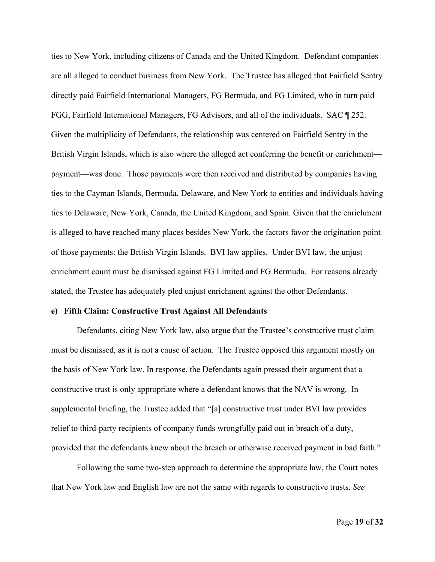ties to New York, including citizens of Canada and the United Kingdom. Defendant companies are all alleged to conduct business from New York. The Trustee has alleged that Fairfield Sentry directly paid Fairfield International Managers, FG Bermuda, and FG Limited, who in turn paid FGG, Fairfield International Managers, FG Advisors, and all of the individuals. SAC ¶ 252. Given the multiplicity of Defendants, the relationship was centered on Fairfield Sentry in the British Virgin Islands, which is also where the alleged act conferring the benefit or enrichment payment—was done. Those payments were then received and distributed by companies having ties to the Cayman Islands, Bermuda, Delaware, and New York to entities and individuals having ties to Delaware, New York, Canada, the United Kingdom, and Spain. Given that the enrichment is alleged to have reached many places besides New York, the factors favor the origination point of those payments: the British Virgin Islands. BVI law applies. Under BVI law, the unjust enrichment count must be dismissed against FG Limited and FG Bermuda. For reasons already stated, the Trustee has adequately pled unjust enrichment against the other Defendants.

#### **e) Fifth Claim: Constructive Trust Against All Defendants**

Defendants, citing New York law, also argue that the Trustee's constructive trust claim must be dismissed, as it is not a cause of action. The Trustee opposed this argument mostly on the basis of New York law. In response, the Defendants again pressed their argument that a constructive trust is only appropriate where a defendant knows that the NAV is wrong. In supplemental briefing, the Trustee added that "[a] constructive trust under BVI law provides relief to third-party recipients of company funds wrongfully paid out in breach of a duty, provided that the defendants knew about the breach or otherwise received payment in bad faith."

Following the same two-step approach to determine the appropriate law, the Court notes that New York law and English law are not the same with regards to constructive trusts. *See*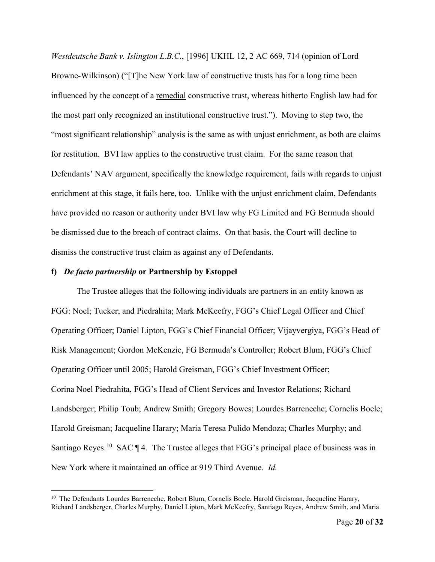*Westdeutsche Bank v. Islington L.B.C.*, [1996] UKHL 12, 2 AC 669, 714 (opinion of Lord Browne-Wilkinson) ("[T]he New York law of constructive trusts has for a long time been influenced by the concept of a remedial constructive trust, whereas hitherto English law had for the most part only recognized an institutional constructive trust."). Moving to step two, the "most significant relationship" analysis is the same as with unjust enrichment, as both are claims for restitution. BVI law applies to the constructive trust claim. For the same reason that Defendants' NAV argument, specifically the knowledge requirement, fails with regards to unjust enrichment at this stage, it fails here, too. Unlike with the unjust enrichment claim, Defendants have provided no reason or authority under BVI law why FG Limited and FG Bermuda should be dismissed due to the breach of contract claims. On that basis, the Court will decline to dismiss the constructive trust claim as against any of Defendants.

### **f)** *De facto partnership* **or Partnership by Estoppel**

The Trustee alleges that the following individuals are partners in an entity known as FGG: Noel; Tucker; and Piedrahita; Mark McKeefry, FGG's Chief Legal Officer and Chief Operating Officer; Daniel Lipton, FGG's Chief Financial Officer; Vijayvergiya, FGG's Head of Risk Management; Gordon McKenzie, FG Bermuda's Controller; Robert Blum, FGG's Chief Operating Officer until 2005; Harold Greisman, FGG's Chief Investment Officer; Corina Noel Piedrahita, FGG's Head of Client Services and Investor Relations; Richard Landsberger; Philip Toub; Andrew Smith; Gregory Bowes; Lourdes Barreneche; Cornelis Boele; Harold Greisman; Jacqueline Harary; Maria Teresa Pulido Mendoza; Charles Murphy; and Santiago Reyes.<sup>[10](#page-19-0)</sup> SAC  $\P$  4. The Trustee alleges that FGG's principal place of business was in New York where it maintained an office at 919 Third Avenue. *Id.*

<span id="page-19-0"></span><sup>&</sup>lt;sup>10</sup> The Defendants Lourdes Barreneche, Robert Blum, Cornelis Boele, Harold Greisman, Jacqueline Harary, Richard Landsberger, Charles Murphy, Daniel Lipton, Mark McKeefry, Santiago Reyes, Andrew Smith, and Maria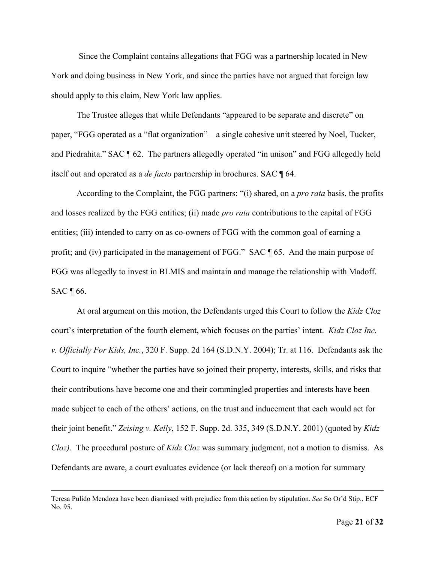Since the Complaint contains allegations that FGG was a partnership located in New York and doing business in New York, and since the parties have not argued that foreign law should apply to this claim, New York law applies.

The Trustee alleges that while Defendants "appeared to be separate and discrete" on paper, "FGG operated as a "flat organization"—a single cohesive unit steered by Noel, Tucker, and Piedrahita." SAC ¶ 62. The partners allegedly operated "in unison" and FGG allegedly held itself out and operated as a *de facto* partnership in brochures. SAC ¶ 64.

According to the Complaint, the FGG partners: "(i) shared, on a *pro rata* basis, the profits and losses realized by the FGG entities; (ii) made *pro rata* contributions to the capital of FGG entities; (iii) intended to carry on as co-owners of FGG with the common goal of earning a profit; and (iv) participated in the management of FGG." SAC ¶ 65. And the main purpose of FGG was allegedly to invest in BLMIS and maintain and manage the relationship with Madoff. SAC ¶ 66.

At oral argument on this motion, the Defendants urged this Court to follow the *Kidz Cloz* court's interpretation of the fourth element, which focuses on the parties' intent. *Kidz Cloz Inc. v. Officially For Kids, Inc.*, 320 F. Supp. 2d 164 (S.D.N.Y. 2004); Tr. at 116. Defendants ask the Court to inquire "whether the parties have so joined their property, interests, skills, and risks that their contributions have become one and their commingled properties and interests have been made subject to each of the others' actions, on the trust and inducement that each would act for their joint benefit." *Zeising v. Kelly*, 152 F. Supp. 2d. 335, 349 (S.D.N.Y. 2001) (quoted by *Kidz Cloz)*. The procedural posture of *Kidz Cloz* was summary judgment, not a motion to dismiss. As Defendants are aware, a court evaluates evidence (or lack thereof) on a motion for summary

Teresa Pulido Mendoza have been dismissed with prejudice from this action by stipulation. *See* So Or'd Stip., ECF No. 95.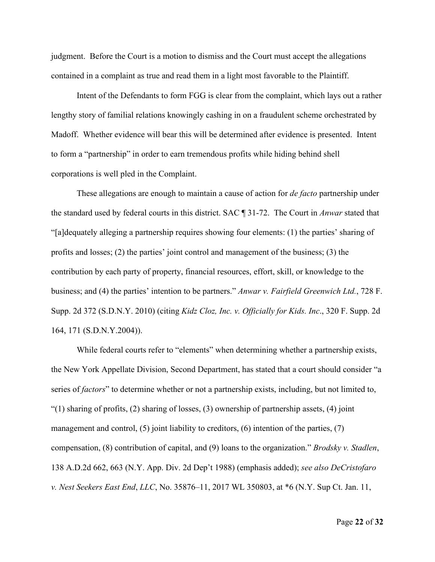judgment. Before the Court is a motion to dismiss and the Court must accept the allegations contained in a complaint as true and read them in a light most favorable to the Plaintiff.

Intent of the Defendants to form FGG is clear from the complaint, which lays out a rather lengthy story of familial relations knowingly cashing in on a fraudulent scheme orchestrated by Madoff. Whether evidence will bear this will be determined after evidence is presented. Intent to form a "partnership" in order to earn tremendous profits while hiding behind shell corporations is well pled in the Complaint.

These allegations are enough to maintain a cause of action for *de facto* partnership under the standard used by federal courts in this district. SAC ¶ 31-72. The Court in *Anwar* stated that "[a]dequately alleging a partnership requires showing four elements: (1) the parties' sharing of profits and losses; (2) the parties' joint control and management of the business; (3) the contribution by each party of property, financial resources, effort, skill, or knowledge to the business; and (4) the parties' intention to be partners." *Anwar v. Fairfield Greenwich Ltd.*, 728 F. Supp. 2d 372 (S.D.N.Y. 2010) (citing *Kidz Cloz, Inc. v. Officially for Kids. Inc*., 320 F. Supp. 2d 164, 171 (S.D.N.Y.2004)).

While federal courts refer to "elements" when determining whether a partnership exists, the New York Appellate Division, Second Department, has stated that a court should consider "a series of *factors*" to determine whether or not a partnership exists, including, but not limited to, "(1) sharing of profits, (2) sharing of losses, (3) ownership of partnership assets, (4) joint management and control,  $(5)$  joint liability to creditors,  $(6)$  intention of the parties,  $(7)$ compensation, (8) contribution of capital, and (9) loans to the organization." *Brodsky v. Stadlen*, 138 A.D.2d 662, 663 (N.Y. App. Div. 2d Dep't 1988) (emphasis added); *see also DeCristofaro v. Nest Seekers East End*, *LLC*, No. 35876–11, 2017 WL 350803, at \*6 (N.Y. Sup Ct. Jan. 11,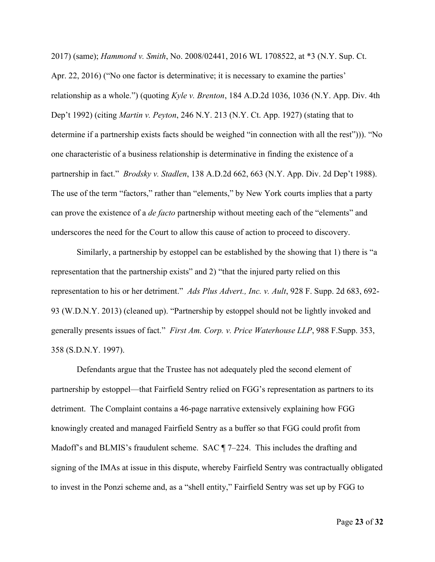2017) (same); *Hammond v. Smith*, No. 2008/02441, 2016 WL 1708522, at \*3 (N.Y. Sup. Ct. Apr. 22, 2016) ("No one factor is determinative; it is necessary to examine the parties' relationship as a whole.") (quoting *Kyle v. Brenton*, 184 A.D.2d 1036, 1036 (N.Y. App. Div. 4th Dep't 1992) (citing *Martin v. Peyton*, 246 N.Y. 213 (N.Y. Ct. App. 1927) (stating that to determine if a partnership exists facts should be weighed "in connection with all the rest"))). "No one characteristic of a business relationship is determinative in finding the existence of a partnership in fact." *Brodsky v. Stadlen*, 138 A.D.2d 662, 663 (N.Y. App. Div. 2d Dep't 1988). The use of the term "factors," rather than "elements," by New York courts implies that a party can prove the existence of a *de facto* partnership without meeting each of the "elements" and underscores the need for the Court to allow this cause of action to proceed to discovery.

Similarly, a partnership by estoppel can be established by the showing that 1) there is "a representation that the partnership exists" and 2) "that the injured party relied on this representation to his or her detriment." *Ads Plus Advert., Inc. v. Ault*, 928 F. Supp. 2d 683, 692- 93 (W.D.N.Y. 2013) (cleaned up). "Partnership by estoppel should not be lightly invoked and generally presents issues of fact." *First Am. Corp. v. Price Waterhouse LLP*, 988 F.Supp. 353, 358 (S.D.N.Y. 1997).

Defendants argue that the Trustee has not adequately pled the second element of partnership by estoppel—that Fairfield Sentry relied on FGG's representation as partners to its detriment. The Complaint contains a 46-page narrative extensively explaining how FGG knowingly created and managed Fairfield Sentry as a buffer so that FGG could profit from Madoff's and BLMIS's fraudulent scheme. SAC ¶ 7–224. This includes the drafting and signing of the IMAs at issue in this dispute, whereby Fairfield Sentry was contractually obligated to invest in the Ponzi scheme and, as a "shell entity," Fairfield Sentry was set up by FGG to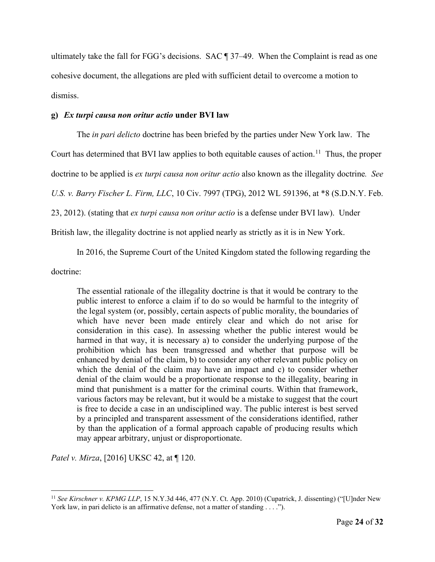ultimately take the fall for FGG's decisions. SAC ¶ 37–49. When the Complaint is read as one cohesive document, the allegations are pled with sufficient detail to overcome a motion to dismiss.

### **g)** *Ex turpi causa non oritur actio* **under BVI law**

The *in pari delicto* doctrine has been briefed by the parties under New York law. The

Court has determined that BVI law applies to both equitable causes of action.<sup>[11](#page-23-0)</sup> Thus, the proper

doctrine to be applied is *ex turpi causa non oritur actio* also known as the illegality doctrine*. See*

*U.S. v. Barry Fischer L. Firm, LLC*, 10 Civ. 7997 (TPG), 2012 WL 591396, at \*8 (S.D.N.Y. Feb.

23, 2012). (stating that *ex turpi causa non oritur actio* is a defense under BVI law). Under

British law, the illegality doctrine is not applied nearly as strictly as it is in New York.

In 2016, the Supreme Court of the United Kingdom stated the following regarding the

doctrine:

The essential rationale of the illegality doctrine is that it would be contrary to the public interest to enforce a claim if to do so would be harmful to the integrity of the legal system (or, possibly, certain aspects of public morality, the boundaries of which have never been made entirely clear and which do not arise for consideration in this case). In assessing whether the public interest would be harmed in that way, it is necessary a) to consider the underlying purpose of the prohibition which has been transgressed and whether that purpose will be enhanced by denial of the claim, b) to consider any other relevant public policy on which the denial of the claim may have an impact and c) to consider whether denial of the claim would be a proportionate response to the illegality, bearing in mind that punishment is a matter for the criminal courts. Within that framework, various factors may be relevant, but it would be a mistake to suggest that the court is free to decide a case in an undisciplined way. The public interest is best served by a principled and transparent assessment of the considerations identified, rather by than the application of a formal approach capable of producing results which may appear arbitrary, unjust or disproportionate.

*Patel v. Mirza*, [2016] UKSC 42, at ¶ 120.

<span id="page-23-0"></span><sup>&</sup>lt;sup>11</sup> See Kirschner v. KPMG LLP, 15 N.Y.3d 446, 477 (N.Y. Ct. App. 2010) (Cupatrick, J. dissenting) ("[U]nder New York law, in pari delicto is an affirmative defense, not a matter of standing . . . .").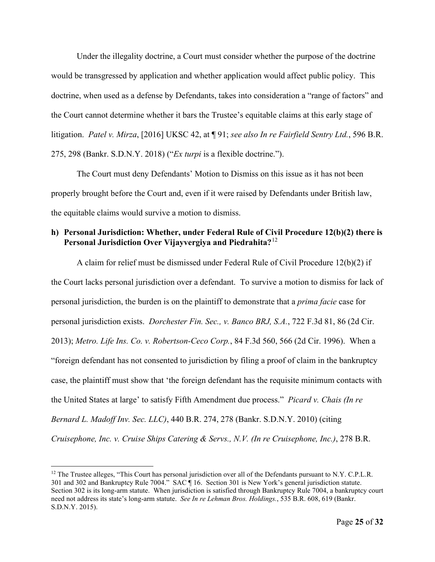Under the illegality doctrine, a Court must consider whether the purpose of the doctrine would be transgressed by application and whether application would affect public policy. This doctrine, when used as a defense by Defendants, takes into consideration a "range of factors" and the Court cannot determine whether it bars the Trustee's equitable claims at this early stage of litigation. *Patel v. Mirza*, [2016] UKSC 42, at ¶ 91; *see also In re Fairfield Sentry Ltd.*, 596 B.R. 275, 298 (Bankr. S.D.N.Y. 2018) ("*Ex turpi* is a flexible doctrine.").

The Court must deny Defendants' Motion to Dismiss on this issue as it has not been properly brought before the Court and, even if it were raised by Defendants under British law, the equitable claims would survive a motion to dismiss.

## **h) Personal Jurisdiction: Whether, under Federal Rule of Civil Procedure 12(b)(2) there is Personal Jurisdiction Over Vijayvergiya and Piedrahita?**[12](#page-24-0)

A claim for relief must be dismissed under Federal Rule of Civil Procedure 12(b)(2) if the Court lacks personal jurisdiction over a defendant. To survive a motion to dismiss for lack of personal jurisdiction, the burden is on the plaintiff to demonstrate that a *prima facie* case for personal jurisdiction exists. *Dorchester Fin. Sec., v. Banco BRJ, S.A.*, 722 F.3d 81, 86 (2d Cir. 2013); *Metro. Life Ins. Co. v. Robertson-Ceco Corp.*, 84 F.3d 560, 566 (2d Cir. 1996). When a "foreign defendant has not consented to jurisdiction by filing a proof of claim in the bankruptcy case, the plaintiff must show that 'the foreign defendant has the requisite minimum contacts with the United States at large' to satisfy Fifth Amendment due process." *Picard v. Chais (In re Bernard L. Madoff Inv. Sec. LLC)*, 440 B.R. 274, 278 (Bankr. S.D.N.Y. 2010) (citing *Cruisephone, Inc. v. Cruise Ships Catering & Servs., N.V. (In re Cruisephone, Inc.)*, 278 B.R.

<span id="page-24-0"></span> $12$  The Trustee alleges, "This Court has personal jurisdiction over all of the Defendants pursuant to N.Y. C.P.L.R. 301 and 302 and Bankruptcy Rule 7004." SAC ¶ 16. Section 301 is New York's general jurisdiction statute. Section 302 is its long-arm statute. When jurisdiction is satisfied through Bankruptcy Rule 7004, a bankruptcy court need not address its state's long-arm statute. *See In re Lehman Bros. Holdings.*, 535 B.R. 608, 619 (Bankr. S.D.N.Y. 2015).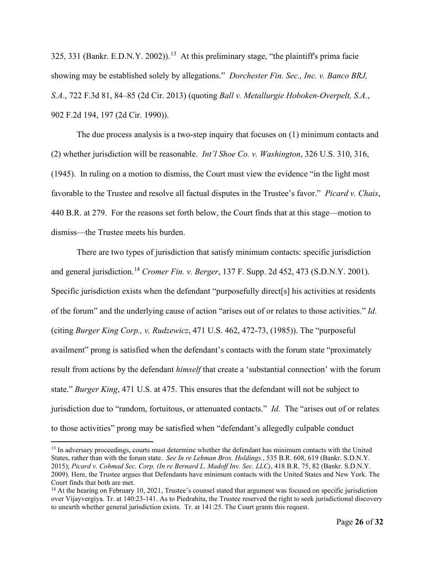325, 331 (Bankr. E.D.N.Y. 2002)).<sup>[13](#page-25-0)</sup> At this preliminary stage, "the plaintiff's prima facie showing may be established solely by allegations." *Dorchester Fin. Sec., Inc. v. Banco BRJ, S.A*., 722 F.3d 81, 84–85 (2d Cir. 2013) (quoting *Ball v. Metallurgie Hoboken-Overpelt, S.A.*, 902 F.2d 194, 197 (2d Cir. 1990)).

The due process analysis is a two-step inquiry that focuses on (1) minimum contacts and (2) whether jurisdiction will be reasonable. *Int'l Shoe Co. v. Washington*, 326 U.S. 310, 316, (1945). In ruling on a motion to dismiss, the Court must view the evidence "in the light most favorable to the Trustee and resolve all factual disputes in the Trustee's favor." *Picard v. Chais*, 440 B.R. at 279. For the reasons set forth below, the Court finds that at this stage—motion to dismiss—the Trustee meets his burden.

There are two types of jurisdiction that satisfy minimum contacts: specific jurisdiction and general jurisdiction. [14](#page-25-1) *Cromer Fin. v. Berger*, 137 F. Supp. 2d 452, 473 (S.D.N.Y. 2001). Specific jurisdiction exists when the defendant "purposefully direct[s] his activities at residents of the forum" and the underlying cause of action "arises out of or relates to those activities." *Id.*  (citing *Burger King Corp., v. Rudzewicz*, 471 U.S. 462, 472-73, (1985)). The "purposeful availment" prong is satisfied when the defendant's contacts with the forum state "proximately result from actions by the defendant *himself* that create a 'substantial connection' with the forum state." *Burger King*, 471 U.S. at 475. This ensures that the defendant will not be subject to jurisdiction due to "random, fortuitous, or attenuated contacts." *Id.* The "arises out of or relates to those activities" prong may be satisfied when "defendant's allegedly culpable conduct

<span id="page-25-0"></span><sup>&</sup>lt;sup>13</sup> In adversary proceedings, courts must determine whether the defendant has minimum contacts with the United States, rather than with the forum state. *See In re Lehman Bros. Holdings.*, 535 B.R. 608, 619 (Bankr. S.D.N.Y. 2015); *Picard v. Cohmad Sec. Corp. (In re Bernard L. Madoff Inv. Sec. LLC)*, 418 B.R. 75, 82 (Bankr. S.D.N.Y. 2009). Here, the Trustee argues that Defendants have minimum contacts with the United States and New York. The Court finds that both are met.

<span id="page-25-1"></span><sup>&</sup>lt;sup>14</sup> At the hearing on February 10, 2021, Trustee's counsel stated that argument was focused on specific jurisdiction over Vijayvergiya. Tr. at 140:23-141. As to Piedrahita, the Trustee reserved the right to seek jurisdictional discovery to unearth whether general jurisdiction exists. Tr. at 141:25. The Court grants this request.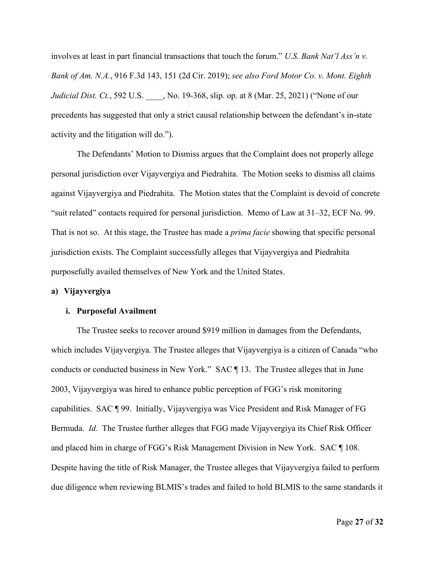involves at least in part financial transactions that touch the forum." *U.S. Bank Nat'l Ass'n v. Bank of Am. N.A.*, 916 F.3d 143, 151 (2d Cir. 2019); *see also Ford Motor Co. v. Mont. Eighth Judicial Dist. Ct.*, 592 U.S. \_\_\_\_, No. 19-368, slip. op. at 8 (Mar. 25, 2021) ("None of our precedents has suggested that only a strict causal relationship between the defendant's in-state activity and the litigation will do.").

The Defendants' Motion to Dismiss argues that the Complaint does not properly allege personal jurisdiction over Vijayvergiya and Piedrahita. The Motion seeks to dismiss all claims against Vijayvergiya and Piedrahita. The Motion states that the Complaint is devoid of concrete "suit related" contacts required for personal jurisdiction. Memo of Law at 31–32, ECF No. 99. That is not so. At this stage, the Trustee has made a *prima facie* showing that specific personal jurisdiction exists. The Complaint successfully alleges that Vijayvergiya and Piedrahita purposefully availed themselves of New York and the United States.

### **a) Vijayvergiya**

#### **i. Purposeful Availment**

The Trustee seeks to recover around \$919 million in damages from the Defendants, which includes Vijayvergiya. The Trustee alleges that Vijayvergiya is a citizen of Canada "who conducts or conducted business in New York." SAC ¶ 13. The Trustee alleges that in June 2003, Vijayvergiya was hired to enhance public perception of FGG's risk monitoring capabilities. SAC ¶ 99. Initially, Vijayvergiya was Vice President and Risk Manager of FG Bermuda. *Id.* The Trustee further alleges that FGG made Vijayvergiya its Chief Risk Officer and placed him in charge of FGG's Risk Management Division in New York. SAC ¶ 108. Despite having the title of Risk Manager, the Trustee alleges that Vijayvergiya failed to perform due diligence when reviewing BLMIS's trades and failed to hold BLMIS to the same standards it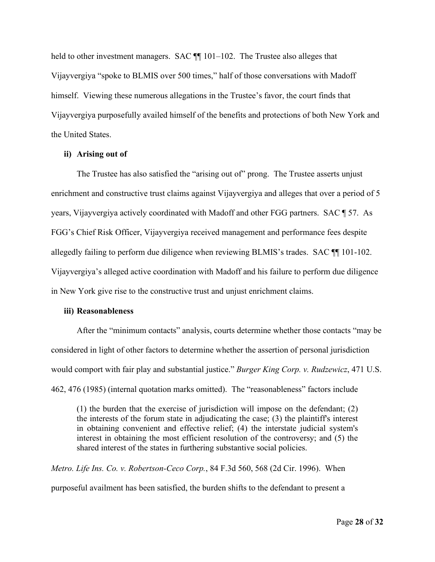held to other investment managers. SAC  $\P$  101–102. The Trustee also alleges that Vijayvergiya "spoke to BLMIS over 500 times," half of those conversations with Madoff himself. Viewing these numerous allegations in the Trustee's favor, the court finds that Vijayvergiya purposefully availed himself of the benefits and protections of both New York and the United States.

### **ii) Arising out of**

The Trustee has also satisfied the "arising out of" prong. The Trustee asserts unjust enrichment and constructive trust claims against Vijayvergiya and alleges that over a period of 5 years, Vijayvergiya actively coordinated with Madoff and other FGG partners. SAC ¶ 57. As FGG's Chief Risk Officer, Vijayvergiya received management and performance fees despite allegedly failing to perform due diligence when reviewing BLMIS's trades. SAC ¶¶ 101-102. Vijayvergiya's alleged active coordination with Madoff and his failure to perform due diligence in New York give rise to the constructive trust and unjust enrichment claims.

### **iii) Reasonableness**

After the "minimum contacts" analysis, courts determine whether those contacts "may be considered in light of other factors to determine whether the assertion of personal jurisdiction would comport with fair play and substantial justice." *Burger King Corp. v. Rudzewicz*, 471 U.S. 462, 476 (1985) (internal quotation marks omitted). The "reasonableness" factors include

(1) the burden that the exercise of jurisdiction will impose on the defendant; (2) the interests of the forum state in adjudicating the case; (3) the plaintiff's interest in obtaining convenient and effective relief; (4) the interstate judicial system's interest in obtaining the most efficient resolution of the controversy; and (5) the shared interest of the states in furthering substantive social policies.

*Metro. Life Ins. Co. v. Robertson-Ceco Corp.*, 84 F.3d 560, 568 (2d Cir. 1996). When purposeful availment has been satisfied, the burden shifts to the defendant to present a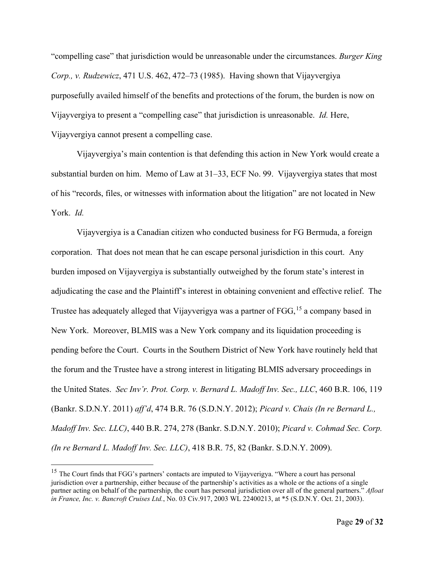"compelling case" that jurisdiction would be unreasonable under the circumstances. *Burger King Corp., v. Rudzewicz*, 471 U.S. 462, 472–73 (1985). Having shown that Vijayvergiya purposefully availed himself of the benefits and protections of the forum, the burden is now on Vijayvergiya to present a "compelling case" that jurisdiction is unreasonable. *Id.* Here, Vijayvergiya cannot present a compelling case.

Vijayvergiya's main contention is that defending this action in New York would create a substantial burden on him. Memo of Law at 31–33, ECF No. 99. Vijayvergiya states that most of his "records, files, or witnesses with information about the litigation" are not located in New York. *Id.* 

Vijayvergiya is a Canadian citizen who conducted business for FG Bermuda, a foreign corporation. That does not mean that he can escape personal jurisdiction in this court. Any burden imposed on Vijayvergiya is substantially outweighed by the forum state's interest in adjudicating the case and the Plaintiff's interest in obtaining convenient and effective relief. The Trustee has adequately alleged that Vijayverigya was a partner of FGG,<sup>[15](#page-28-0)</sup> a company based in New York. Moreover, BLMIS was a New York company and its liquidation proceeding is pending before the Court. Courts in the Southern District of New York have routinely held that the forum and the Trustee have a strong interest in litigating BLMIS adversary proceedings in the United States. *Sec Inv'r. Prot. Corp. v. Bernard L. Madoff Inv. Sec., LLC*, 460 B.R. 106, 119 (Bankr. S.D.N.Y. 2011) *aff'd*, 474 B.R. 76 (S.D.N.Y. 2012); *Picard v. Chais (In re Bernard L., Madoff Inv. Sec. LLC)*, 440 B.R. 274, 278 (Bankr. S.D.N.Y. 2010); *Picard v. Cohmad Sec. Corp. (In re Bernard L. Madoff Inv. Sec. LLC)*, 418 B.R. 75, 82 (Bankr. S.D.N.Y. 2009).

<span id="page-28-0"></span><sup>&</sup>lt;sup>15</sup> The Court finds that FGG's partners' contacts are imputed to Vijayverigya. "Where a court has personal jurisdiction over a partnership, either because of the partnership's activities as a whole or the actions of a single partner acting on behalf of the partnership, the court has personal jurisdiction over all of the general partners." *Afloat in France, Inc. v. Bancroft Cruises Ltd.*, No. 03 Civ.917, 2003 WL 22400213, at \*5 (S.D.N.Y. Oct. 21, 2003).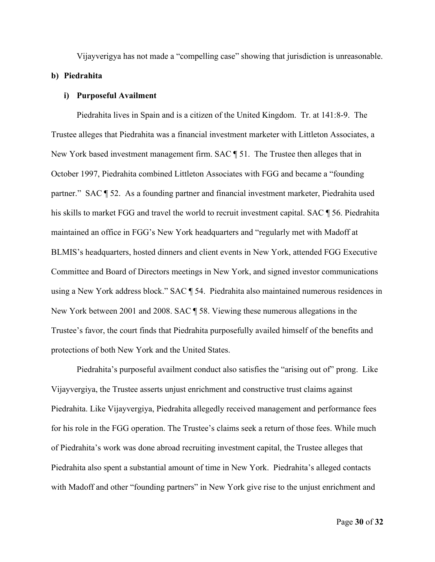Vijayverigya has not made a "compelling case" showing that jurisdiction is unreasonable.

### **b) Piedrahita**

### **i) Purposeful Availment**

Piedrahita lives in Spain and is a citizen of the United Kingdom. Tr. at 141:8-9. The Trustee alleges that Piedrahita was a financial investment marketer with Littleton Associates, a New York based investment management firm. SAC ¶ 51. The Trustee then alleges that in October 1997, Piedrahita combined Littleton Associates with FGG and became a "founding partner." SAC ¶ 52. As a founding partner and financial investment marketer, Piedrahita used his skills to market FGG and travel the world to recruit investment capital. SAC ¶ 56. Piedrahita maintained an office in FGG's New York headquarters and "regularly met with Madoff at BLMIS's headquarters, hosted dinners and client events in New York, attended FGG Executive Committee and Board of Directors meetings in New York, and signed investor communications using a New York address block." SAC ¶ 54. Piedrahita also maintained numerous residences in New York between 2001 and 2008. SAC ¶ 58. Viewing these numerous allegations in the Trustee's favor, the court finds that Piedrahita purposefully availed himself of the benefits and protections of both New York and the United States.

Piedrahita's purposeful availment conduct also satisfies the "arising out of" prong. Like Vijayvergiya, the Trustee asserts unjust enrichment and constructive trust claims against Piedrahita. Like Vijayvergiya, Piedrahita allegedly received management and performance fees for his role in the FGG operation. The Trustee's claims seek a return of those fees. While much of Piedrahita's work was done abroad recruiting investment capital, the Trustee alleges that Piedrahita also spent a substantial amount of time in New York. Piedrahita's alleged contacts with Madoff and other "founding partners" in New York give rise to the unjust enrichment and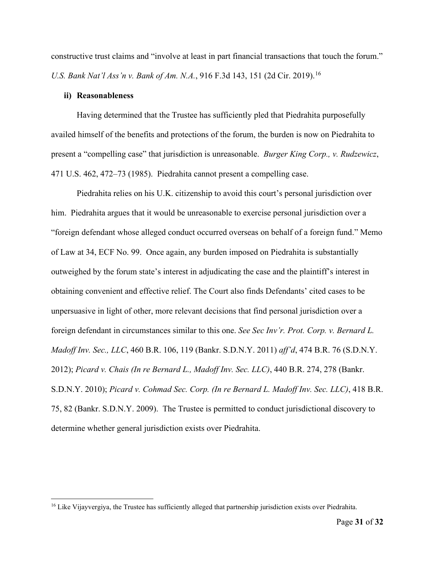constructive trust claims and "involve at least in part financial transactions that touch the forum." *U.S. Bank Nat'l Ass'n v. Bank of Am. N.A.*, 9[16](#page-30-0) F.3d 143, 151 (2d Cir. 2019).<sup>16</sup>

### **ii) Reasonableness**

Having determined that the Trustee has sufficiently pled that Piedrahita purposefully availed himself of the benefits and protections of the forum, the burden is now on Piedrahita to present a "compelling case" that jurisdiction is unreasonable. *Burger King Corp., v. Rudzewicz*, 471 U.S. 462, 472–73 (1985). Piedrahita cannot present a compelling case.

Piedrahita relies on his U.K. citizenship to avoid this court's personal jurisdiction over him. Piedrahita argues that it would be unreasonable to exercise personal jurisdiction over a "foreign defendant whose alleged conduct occurred overseas on behalf of a foreign fund." Memo of Law at 34, ECF No. 99. Once again, any burden imposed on Piedrahita is substantially outweighed by the forum state's interest in adjudicating the case and the plaintiff's interest in obtaining convenient and effective relief. The Court also finds Defendants' cited cases to be unpersuasive in light of other, more relevant decisions that find personal jurisdiction over a foreign defendant in circumstances similar to this one. *See Sec Inv'r. Prot. Corp. v. Bernard L. Madoff Inv. Sec., LLC*, 460 B.R. 106, 119 (Bankr. S.D.N.Y. 2011) *aff'd*, 474 B.R. 76 (S.D.N.Y. 2012); *Picard v. Chais (In re Bernard L., Madoff Inv. Sec. LLC)*, 440 B.R. 274, 278 (Bankr. S.D.N.Y. 2010); *Picard v. Cohmad Sec. Corp. (In re Bernard L. Madoff Inv. Sec. LLC)*, 418 B.R. 75, 82 (Bankr. S.D.N.Y. 2009). The Trustee is permitted to conduct jurisdictional discovery to determine whether general jurisdiction exists over Piedrahita.

<span id="page-30-0"></span><sup>&</sup>lt;sup>16</sup> Like Vijayvergiya, the Trustee has sufficiently alleged that partnership jurisdiction exists over Piedrahita.